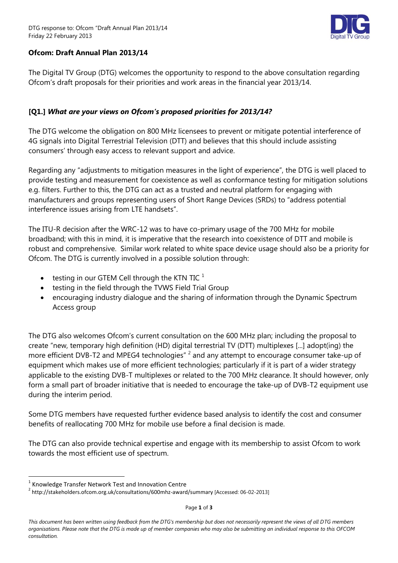

# **Ofcom: Draft Annual Plan 2013/14**

The Digital TV Group (DTG) welcomes the opportunity to respond to the above consultation regarding Ofcom's draft proposals for their priorities and work areas in the financial year 2013/14.

# **[Q1.]** *What are your views on Ofcom's proposed priorities for 2013/14?*

The DTG welcome the obligation on 800 MHz licensees to prevent or mitigate potential interference of 4G signals into Digital Terrestrial Television (DTT) and believes that this should include assisting consumers' through easy access to relevant support and advice.

Regarding any "adjustments to mitigation measures in the light of experience", the DTG is well placed to provide testing and measurement for coexistence as well as conformance testing for mitigation solutions e.g. filters. Further to this, the DTG can act as a trusted and neutral platform for engaging with manufacturers and groups representing users of Short Range Devices (SRDs) to "address potential interference issues arising from LTE handsets".

The ITU-R decision after the WRC-12 was to have co-primary usage of the 700 MHz for mobile broadband; with this in mind, it is imperative that the research into coexistence of DTT and mobile is robust and comprehensive. Similar work related to white space device usage should also be a priority for Ofcom. The DTG is currently involved in a possible solution through:

- testing in our GTEM Cell through the KTN TIC  $<sup>1</sup>$ </sup>
- testing in the field through the TVWS Field Trial Group
- encouraging industry dialogue and the sharing of information through the Dynamic Spectrum Access group

The DTG also welcomes Ofcom's current consultation on the 600 MHz plan; including the proposal to create "new, temporary high definition (HD) digital terrestrial TV (DTT) multiplexes [...] adopt(ing) the more efficient DVB-T2 and MPEG4 technologies"  $^2$  and any attempt to encourage consumer take-up of equipment which makes use of more efficient technologies; particularly if it is part of a wider strategy applicable to the existing DVB-T multiplexes or related to the 700 MHz clearance. It should however, only form a small part of broader initiative that is needed to encourage the take-up of DVB-T2 equipment use during the interim period.

Some DTG members have requested further evidence based analysis to identify the cost and consumer benefits of reallocating 700 MHz for mobile use before a final decision is made.

The DTG can also provide technical expertise and engage with its membership to assist Ofcom to work towards the most efficient use of spectrum.

 $\overline{a}$ 

Page **1** of **3**

 $1$  Knowledge Transfer Network Test and Innovation Centre

<sup>&</sup>lt;sup>2</sup> http://stakeholders.ofcom.org.uk/consultations/600mhz-award/summary [Accessed: 06-02-2013]

*This document has been written using feedback from the DTG's membership but does not necessarily represent the views of all DTG members organisations. Please note that the DTG is made up of member companies who may also be submitting an individual response to this OFCOM consultation.*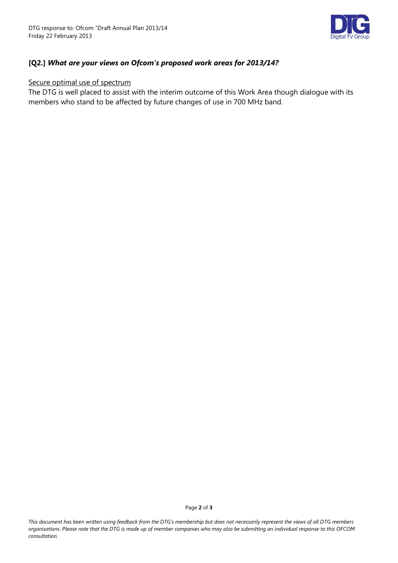

# **[Q2.]** *What are your views on Ofcom's proposed work areas for 2013/14?*

#### Secure optimal use of spectrum

The DTG is well placed to assist with the interim outcome of this Work Area though dialogue with its members who stand to be affected by future changes of use in 700 MHz band.

*This document has been written using feedback from the DTG's membership but does not necessarily represent the views of all DTG members organisations. Please note that the DTG is made up of member companies who may also be submitting an individual response to this OFCOM consultation.*